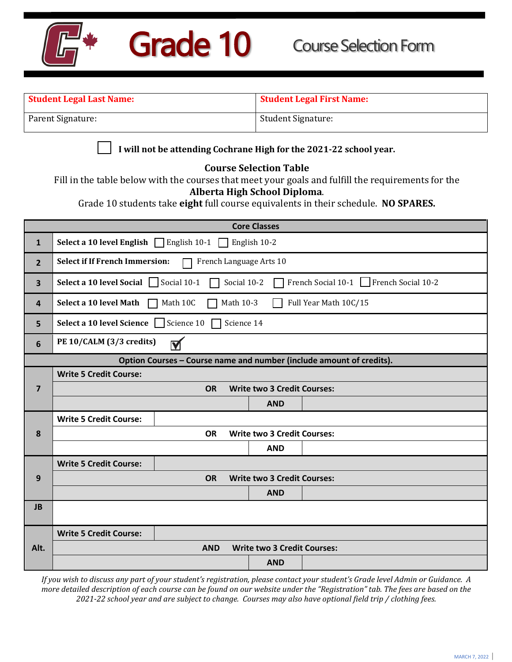

| <b>Student Legal Last Name:</b><br><b>Student Legal First Name:</b> |                                                                                                                                                                                                                                                           |                         |                                    |                                                                      |  |  |  |  |
|---------------------------------------------------------------------|-----------------------------------------------------------------------------------------------------------------------------------------------------------------------------------------------------------------------------------------------------------|-------------------------|------------------------------------|----------------------------------------------------------------------|--|--|--|--|
|                                                                     | Parent Signature:<br>Student Signature:                                                                                                                                                                                                                   |                         |                                    |                                                                      |  |  |  |  |
|                                                                     | I will not be attending Cochrane High for the 2021-22 school year.                                                                                                                                                                                        |                         |                                    |                                                                      |  |  |  |  |
|                                                                     | <b>Course Selection Table</b><br>Fill in the table below with the courses that meet your goals and fulfill the requirements for the<br>Alberta High School Diploma.<br>Grade 10 students take eight full course equivalents in their schedule. NO SPARES. |                         |                                    |                                                                      |  |  |  |  |
|                                                                     |                                                                                                                                                                                                                                                           |                         | <b>Core Classes</b>                |                                                                      |  |  |  |  |
| $\mathbf{1}$                                                        | Select a 10 level English   English 10-1                                                                                                                                                                                                                  |                         | English 10-2                       |                                                                      |  |  |  |  |
| $\overline{2}$                                                      | <b>Select if If French Immersion:</b>                                                                                                                                                                                                                     | French Language Arts 10 |                                    |                                                                      |  |  |  |  |
| 3                                                                   | <b>Select a 10 level Social </b> $\Box$ Social 10-1                                                                                                                                                                                                       |                         | Social 10-2                        | French Social 10-1 French Social 10-2                                |  |  |  |  |
| 4                                                                   | Select a 10 level Math                                                                                                                                                                                                                                    | Math 10C<br>Math 10-3   |                                    | Full Year Math 10C/15                                                |  |  |  |  |
| 5                                                                   | Select a 10 level Science Science 10                                                                                                                                                                                                                      |                         | Science 14                         |                                                                      |  |  |  |  |
| 6                                                                   | PE 10/CALM (3/3 credits)                                                                                                                                                                                                                                  | M                       |                                    |                                                                      |  |  |  |  |
|                                                                     |                                                                                                                                                                                                                                                           |                         |                                    | Option Courses - Course name and number (include amount of credits). |  |  |  |  |
|                                                                     | <b>Write 5 Credit Course:</b>                                                                                                                                                                                                                             |                         |                                    |                                                                      |  |  |  |  |
| $\overline{7}$                                                      |                                                                                                                                                                                                                                                           | <b>OR</b>               | <b>Write two 3 Credit Courses:</b> |                                                                      |  |  |  |  |
|                                                                     |                                                                                                                                                                                                                                                           |                         | <b>AND</b>                         |                                                                      |  |  |  |  |
|                                                                     | <b>Write 5 Credit Course:</b>                                                                                                                                                                                                                             |                         |                                    |                                                                      |  |  |  |  |
| 8                                                                   |                                                                                                                                                                                                                                                           | <b>OR</b>               | <b>Write two 3 Credit Courses:</b> |                                                                      |  |  |  |  |
|                                                                     |                                                                                                                                                                                                                                                           |                         | <b>AND</b>                         |                                                                      |  |  |  |  |
| 9                                                                   | <b>Write 5 Credit Course:</b>                                                                                                                                                                                                                             | <b>OR</b>               | <b>Write two 3 Credit Courses:</b> |                                                                      |  |  |  |  |
|                                                                     |                                                                                                                                                                                                                                                           |                         | <b>AND</b>                         |                                                                      |  |  |  |  |
| <b>JB</b>                                                           |                                                                                                                                                                                                                                                           |                         |                                    |                                                                      |  |  |  |  |
|                                                                     |                                                                                                                                                                                                                                                           |                         |                                    |                                                                      |  |  |  |  |
|                                                                     | <b>Write 5 Credit Course:</b>                                                                                                                                                                                                                             |                         |                                    |                                                                      |  |  |  |  |
| Alt.                                                                |                                                                                                                                                                                                                                                           | <b>AND</b>              | <b>Write two 3 Credit Courses:</b> |                                                                      |  |  |  |  |
|                                                                     |                                                                                                                                                                                                                                                           |                         | <b>AND</b>                         |                                                                      |  |  |  |  |

*If you wish to discuss any part of your student's registration, please contact your student's Grade level Admin or Guidance. A more detailed description of each course can be found on our website under the "Registration" tab. The fees are based on the 2021-22 school year and are subject to change. Courses may also have optional field trip / clothing fees.*